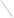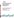# **Environmental Technology Verification Program**  Advanced Monitoring Systems Center

Generic Verification Protocol for Ambient Hydrogen Sulfide Analyzers at an Animal Feeding Operation



EPA ARCHIVE DOCUMENT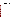## **GENERIC VERIFICATION PROTOCOL**

for

# Verification of Ambient Hydrogen Sulfide Analyzers at an Animal Feeding Operation

**September 2005** 

**Prepared by** 

**Battelle 505 King Avenue Columbus, OH 43201-2693**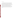#### **A1.1 Foreword**

This generic verification protocol is based upon a peer-reviewed specific test/quality assurance (QA) plan entitled "Test/QA Plan for Verification of Ambient Hydrogen Sulfide Analyzers at a Swine Finishing Farm."<sup>(1)</sup> The test/QA plan was developed with vendor and stakeholder input by the ETV Advanced Monitoring Systems (AMS) Center. Peer reviewers for the test/QA plan were AMS Center stakeholder Will Ollison, American Petroleum Institute; Raul Dominguez, South Coast Air Quality Management District; and Bruce Harris, U.S. Environmental Protection Agency's National Risk Management Research Laboratory. In preparing this generic verification protocol, specific names of individuals involved, technology vendors and technologies, test dates, and similar details in the test/QA plan were revised to be generic. The experimental design in this protocol is the same as that in the peer-reviewed test/QA plan.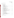Ambient Hydrogen Sulfide Analyzers Generic Verification Protocol Page 3 of 45 September 2005

#### **A2 TABLE OF CONTENTS**

#### Section Page

| $\mathbf{A}$  |                | PROJECT MANAGEMENT               |
|---------------|----------------|----------------------------------|
|               | A <sub>1</sub> |                                  |
|               | A2             |                                  |
|               | A <sub>3</sub> |                                  |
|               | A <sub>4</sub> |                                  |
|               | A <sub>5</sub> |                                  |
|               | A <sub>6</sub> |                                  |
|               | A7             |                                  |
|               | A8             |                                  |
|               | A <sup>9</sup> |                                  |
| B             |                | MEASUREMENT AND DATA ACQUISITION |
|               | B1             |                                  |
|               | B2             |                                  |
|               | B <sub>3</sub> |                                  |
|               | B <sub>4</sub> |                                  |
|               | B <sub>5</sub> |                                  |
|               | <b>B6</b>      |                                  |
|               | B7             |                                  |
|               | <b>B8</b>      |                                  |
|               | <b>B9</b>      |                                  |
|               | <b>B10</b>     |                                  |
| $\mathcal{C}$ |                | ASSESSMENT AND OVERSIGHT         |
|               | C <sub>1</sub> |                                  |
|               | C2             |                                  |
| D             |                | DATA VALIDATION AND USABILITY    |
|               | D1             |                                  |
|               | D2             |                                  |
|               | D <sub>3</sub> |                                  |
| E             |                |                                  |
|               |                |                                  |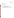Ambient Hydrogen Sulfide Analyzers Generic Verification Protocol Page 4 of 45 September 2005

#### **List of Figures** Page

### List of Tables

| Table 1                                                                                        |  |
|------------------------------------------------------------------------------------------------|--|
| Table 2                                                                                        |  |
| Table 3                                                                                        |  |
| Table 4<br>Approximate H <sub>2</sub> S Concentrations and Order for Multi-point Challenges 22 |  |
| Table 5<br>Interferants and Approximate Concentrations for Interference Checks  24             |  |
| Table 6<br>Reference Method Quality Control Requirements and Target Acceptance                 |  |
|                                                                                                |  |
| Table 7                                                                                        |  |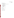Ambient Hydrogen Sulfide Analyzers Generic Verification Protocol Page 5 of 45 September 2005

#### **A3 DISTRIBUTION LIST**

U.S. Environmental Protection Agency Advanced Monitoring Systems (AMS) Center Manager AMS Quality Manager

Battelle AMS Center AMS Center Manager Verification Testing Leader Verification Test Coordinator Quality Manager Technical Staff

Peer Reviewers

Hydrogen Sulfide Analyzer Vendors

Reference Laboratory

Test Facility, if applicable

Test Collaborators, if applicable

Subcontractors, if applicable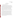#### **SECTION A**

#### **PROJECT MANAGEMENT**

#### **A4 VERIFICATION TEST ORGANIZATION**

This protocol provides generic procedures for implementing a verification test for ambient hydrogen sulfide  $(H_2S)$  analyzers used to measure  $H_2S$  concentrations in ambient air at animal feeding operations (AFO). Verification tests are conducted under the auspices of the U.S. Environmental Protection Agency (EPA) through the Environmental Technology Verification (ETV) Program. Verification tests of monitoring technologies are coordinated by Battelle, which manages the ETV Advanced Monitoring Systems (AMS) Center through a cooperative agreement with EPA. The scope of the AMS Center covers verification of monitoring technologies for contaminants and natural species in air, water, and soil. In performing verification tests, Battelle follows the procedures specified in this protocol and compiles quality requirements in the "Quality Management Plan for the ETV Advanced Monitoring Systems Center"  $(QMP)$ .<sup>(2)</sup>

Verification tests are performed by Battelle in cooperation with EPA and the vendors whose H<sub>2</sub>S analyzers are being verified. The test procedures may be performed by Battelle, test facility staff, a qualified collaborator, and/or a qualified subcontractor; the specific staff members who will perform the test procedures are referred to as "technical staff" in this protocol. Each analyzer vendor is expected to install their respective analyzer, operate the analyzer through portions of the test (unless they give written consent for technical staff to operate it), and repair or maintain their analyzer during the test. Quality assurance (QA) oversight will be provided by the Battelle Quality Manager and also by the EPA AMS Center Quality Manager, at his or her discretion. The organization chart in Figure 1 identifies the responsibilities of the organizations and individuals associated with the verification test. Roles and responsibilities are defined further below.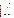Ambient Hydrogen Sulfide Analyzers Generic Verification Protocol Page 7 of 45 September 2005



**Figure 1. Organization Chart** 

#### **A4.1 Battelle**

The AMS Center's Verification Test Coordinator has overall responsibility for ensuring that the technical, schedule, and cost goals established for the verification test are met. More specifically, the Verification Test Coordinator will:

- C Assemble a team of qualified technical staff to conduct the verification test.
- Serve as the primary point of contact for vendor representatives and technical staff.
- C Direct the technical staff in performing the verification test in accordance with this protocol.
- C Ensure that all quality procedures specified in this protocol and in the AMS Center QMP are followed.
- Prepare draft verification reports and verification statements, and revise according to reviewer comments.
- Coordinate distribution of the final verification reports and verification statements.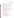- Respond to any issues raised in assessment reports and audits, including instituting corrective action as necessary.
- C Ensure that confidentiality of sensitive vendor information is maintained.

The Verification Testing Leader for the AMS Center provides technical guidance and oversees the various stages of verification testing. The Verification Testing Leader will:

- Support the Verification Test Coordinator in organizing the test.
- Review the draft and final verification reports and verification statements.

The Battelle AMS Center Manager will:

- C Review the draft and final verification reports and verification statements.
- C Ensure that necessary Battelle resources, including staff and facilities, are committed to the verification test.
- C Ensure that confidentiality of sensitive vendor information is maintained.
- C Support the Verification Test Coordinator in responding to any issues raised in assessment reports and audits.
- C Maintain communication with EPA's technical and quality managers.
- C Issue a stop work order if Battelle or EPA QA staff discovers adverse findings that will compromise test results.

Battelle's Quality Manager for the AMS Center will:

- C Conduct a technical systems audit once during the verification test, or designate other QA staff to conduct the audit.
- C Audit at least 10% of the verification data.
- C Prepare and distribute an assessment report for each audit.
- C Verify implementation of any necessary corrective action.
- C Request that Battelle's AMS Center Manager issue a stop work order if audits indicate that data quality is being compromised.
- C Provide a summary of the QA/QC activities and results for the verification reports.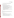- C Review the draft and final verification reports and verification statements.
- C Assume overall responsibility for ensuring that this protocol is followed.

#### **A4.2 Hydrogen Sulfide Analyzer Vendors**

The responsibilities of the H<sub>2</sub>S analyzer vendors are as follows:

- C Provide an  $H_2S$  analyzer for evaluation during the verification test.
- C Provide all other equipment/supplies/reagents/consumables needed to operate their analyzer for the duration of the verification test.
- C Supply a representative to install and maintain their technology, and to operate it in portions of the test specified in this protocol, or provide written consent and instructions for technical staff to carry out these activities.
- C Provide written instructions for routine operation of their analyzers, including a daily checklist of diagnostic and/or maintenance activities.
- C Provide maintenance and repair support for their analyzers, on-site if necessary, throughout the duration of the verification test.
- C Review and provide comments on the draft verification report and statement for their respective analyzers.

#### **A4.3 EPA**

EPA's responsibilities in the AMS Center are based on the requirements stated in the "Environmental Technology Verification Program Quality Management Plan".(3) The roles of specific EPA staff follow.

The EPA AMS Center Quality Manager will:

- C Perform at his or her option one external technical systems audit during the verification test.
- C Notify the EPA AMS Center Manager of the need for a stop work order if the external audit indicates that data quality is being compromised.
- C Prepare and distribute an assessment report summarizing results of the external audit.
- C Review draft verification reports and verification statements.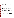EPA's manager for the AMS Center will:

- C Review the draft verification reports and verification statements.
- C Oversee the EPA review process for verification reports, and verification statements.
- C Coordinate the submission of verification reports and verification statements for final EPA approval.

#### **A4.4 Technical Staff**

Technical staff from Battelle, a subcontractor, and/or a collaborating organization will conduct sample collection and test the H<sub>2</sub>S analyzers during the verification test. The responsibilities of technical staff may include:

- C Assist vendor staff in the installation, operation, testing, and removal of the  $H_2S$ analyzers at the test site.
- C Perform experimental procedures specified in this protocol and acquire data from the H<sub>2</sub>S analyzers.
- C Provide daily oversight of the  $H<sub>2</sub>S$  analyzers during periods of routine operation, checking diagnostic indicators according to vendor directions and contacting the Verification Test Coordinator if faults in analyzer operation are observed.
- C Record observations about the maintenance and operation of the  $H_2S$  analyzers during the field period.
- C Assist in the collection of ambient air samples, as needed, and ship or transport them to the reference laboratory.
- C Collect basic meteorological data (e.g., wind speed, wind direction, temperature, and relative humidity) at the test site during the field period and supply the data to Battelle.
- C Perform statistical calculations specified in this protocol on the  $H<sub>2</sub>S$  analyzer data and provide results of statistical calculations and associated discussion for the verification reports, as needed.
- C Support the Verification Test Coordinator in responding to any issues raised in assessment reports and audits related to statistics and data reduction as needed.
- C Review the draft verification reports, and verification statements, as needed.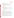#### **A4.5 Reference Laboratory**

One or more analytical laboratories at Battelle, a subcontractor, and/or a collaborating organization will serve as a reference laboratory to:

- C Perform reference analyses of all test and QC samples described in this protocol.
- C Submit the results of the reference analyses in an agreed-upon format to the Verification Test Coordinator.

#### **A4.6 Test Facility**

The test facility for this verification test will be an animal feeding operation (AFO). The test facility personnel are expected to:

- C Identify a point of contact for the test who will serve as the primary interface with the Verification Test Coordinator.
- C Coordinate test facility involvement in the verification test in accordance with this protocol.
- C Ensure that necessary test facility resources (e.g., space and power) are committed to the verification test.

#### **A5 BACKGROUND**

The ETV Program's AMS Center conducts third-party performance testing of commercially available technologies that detect or monitor natural species or contaminants in air, water, and soil. Stakeholder committees of buyers and users of such technologies recommend technology categories, and technologies within those categories, as priorities for testing. Hydrogen sulfide analyzers were identified as a priority technology category through the AMS Center stakeholder process. The purpose of a verification test generated from this protocol is to provide quantitative verification of the performance of  $H<sub>2</sub>S$  analyzers in a field setting while monitoring ambient air containing emissions from AFOs.

Hydrogen sulfide is formed at AFOs during the bacterial decomposition of sulfurcontaining organic compounds present in manure produced by livestock. Also known as a component of sewer gas, H2S has the characteristic odor of rotten eggs and, at high levels, can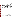Ambient Hydrogen Sulfide Analyzers Generic Verification Protocol Page 12 of 45 September 2005

cause death from even brief exposure. Ambient H<sub>2</sub>S concentrations at swine farms, for example, are expected to range from sub-part per billion (ppb) concentrations to 100 ppb or more.<sup>(4)</sup> Ammonia and volatile organic compounds (VOCs) are also produced from bacterial processing of livestock waste and are likely to be present in significant concentrations at AFOs;<sup>(5, 6)</sup> the ambient air matrix at AFOs can be very challenging analytically. The potential for measurement artifacts resulting from contact of  $H_2S$  and other gases with non-passivated surfaces in air sampling equipment should be considered when conducting measurements at AFOs.

The National Academy of Sciences 2003 report, "Air Emissions from Animal Feeding Operations,"(6) identified the need for improved methods for measuring and estimating air emissions from AFOs, including emissions of H<sub>2</sub>S. The National Air Emissions Monitoring Study Protocol that will be used to conduct measurements of emissions from AFOs as directed by the U.S. EPA Animal Feeding Operations Consent Agreement<sup>(7)</sup> will include measurements of H2S at several types of AFOs. The data collected as a result of the monitoring study will be used to ensure compliance of AFOs with applicable provisions of the Clean Air Act, Comprehensive Environmental Response, Compensation and Liability Act (CERCLA), and Environmental Planning and Community Right-to-Know Act (EPCRA) and to promote a national consensus on methods for estimating AFO emissions. In addition to this federal effort, several states, including Iowa, California, and North Carolina, have developed or are developing standards for ambient  $H_2S$ .

#### **A6 VERIFICATION TEST DESCRIPTION AND SCHEDULE**

#### **A6.1 Summary of Technology Category**

The analyzers for which this protocol was developed are designed for quantifying gas phase  $H_2S$  in ambient air. The analyzers will be tested across a range of  $H_2S$  mixing ratios expected at a large AFO, and should be capable of  $H<sub>2</sub>S$  quantification at least between 5 and 100 ppb H2S. This protocol is intended for testing stand-alone, automated instruments that continuously determine H<sub>2</sub>S concentrations in ambient air and report results in units of ppb. The H2S analyzers may utilize analytical techniques including, but not limited to, electrochemical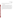detection, chromatography with sulfur chemiluminescence detection (SCD), oxidation of H<sub>2</sub>S followed by ultra-violet sulfur dioxide  $(SO<sub>2</sub>)$  fluorescence, and others.

#### **A6.2 Verification Schedule**

An  $H<sub>2</sub>S$  verification test from this protocol should take between six and nine months to complete after the start of testing, as shown by the general schedule in Table 1. Test planning and site preparation may take place over a period of three to four months. The period of operation of the analyzers at the facility should be approximately 5 weeks, during which time the analyzers will monitor and record  $H_2S$  in the ambient air at the test site. Periodically over the duration of the field period, the analyzers will be challenged with  $H<sub>2</sub>S$  and other compressed gas standards. Measurements will also be conducted using a minimum of one independent  $H_2S$ reference method during the field period. Subsequent to the field testing, a separate verification report will be drafted for each analyzer, reviewed, revised, and submitted to EPA for final signature.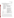#### **Table 1. General Verification Schedule**

|                | <b>Verification Test Activity</b>                                                                                                                                                                                                                                                                                                                                              |                                                                                                                                                                                                                                                                  |  |  |
|----------------|--------------------------------------------------------------------------------------------------------------------------------------------------------------------------------------------------------------------------------------------------------------------------------------------------------------------------------------------------------------------------------|------------------------------------------------------------------------------------------------------------------------------------------------------------------------------------------------------------------------------------------------------------------|--|--|
| <b>Month</b>   | <b>Test Planning and Site Preparation</b>                                                                                                                                                                                                                                                                                                                                      |                                                                                                                                                                                                                                                                  |  |  |
| NA             | Identify test collaborators/subcontractors and test site<br>Recruit vendors<br>Procure H <sub>2</sub> S calibration and interferant gases<br>Arrange for necessary logistical infrastructure and supplies at the test site (e.g., trailer<br>to house testing equipment, gas standard dilution system, zero air)                                                               |                                                                                                                                                                                                                                                                  |  |  |
|                | <b>Field Activities</b>                                                                                                                                                                                                                                                                                                                                                        | <b>Data Analysis and Reporting</b>                                                                                                                                                                                                                               |  |  |
| 1              | Set up/install $H_2S$ analyzers<br>Analyzer training by vendors<br>$H2S$ standard gas challenges<br>$H_2S$ reference sampling<br>Routine operation                                                                                                                                                                                                                             | Begin preparation of report template<br>Analyze $H_2S$ reference samples<br>Compile data from $H_2S$ gas challenges                                                                                                                                              |  |  |
| $\overline{2}$ | Review and summarize operator observations<br>$H2S$ standard gas challenges<br>Interferant challenges<br>Compile data from $H_2S$ gas challenges<br>$H_2S$ reference sampling<br>Compile data from interferant challenges<br>Routine operation<br>Analyze H <sub>2</sub> S reference samples<br>Remove analyzers from test site<br>Compile data packages for reference methods |                                                                                                                                                                                                                                                                  |  |  |
| 3              | NA                                                                                                                                                                                                                                                                                                                                                                             | Complete summary of operator observations<br>Finalize data from all gas challenges<br>Finalize results for reference analyses<br>Complete common sections of reports<br>Complete report sections on $H_2S$ and other gas<br>challenges and operator observations |  |  |
| $\overline{4}$ | Complete report sections on comparisons to<br><b>NA</b><br>reference method                                                                                                                                                                                                                                                                                                    |                                                                                                                                                                                                                                                                  |  |  |
| $5 - 6$        | NA<br>Prepare draft reports and verification statements<br>Peer review of draft reports                                                                                                                                                                                                                                                                                        |                                                                                                                                                                                                                                                                  |  |  |
| $7 - 8$        | <b>NA</b>                                                                                                                                                                                                                                                                                                                                                                      | Distribute verification reports and statements                                                                                                                                                                                                                   |  |  |
| 9              | <b>NA</b>                                                                                                                                                                                                                                                                                                                                                                      | Finalize and post ETV reports and verification<br>statements                                                                                                                                                                                                     |  |  |

NA=Not applicable.

Table 2 shows the approximate weekly schedule for testing activities for a five-week verification test. The test procedures are described in Section B of this protocol. Repeated challenges with zero air and H<sub>2</sub>S gas standards will be conducted early in the field period to obtain the analyzer "baseline" responses and the analyzer response time. The same challenges with zero air and H<sub>2</sub>S gas standards will be conducted twice each week to address analyzer span and zero drift. Multi-point challenges with  $H_2S$  gas standards will be conducted once early in the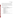field period and again late in the field period to address analyzer measurement accuracy, bias, precision, and linearity. Once during the field period, the analyzers will be challenged with gas standards of sulfur-containing and other potentially interfering gases to evaluate analyzer interference effects. Reference method sampling will be conducted throughout the field period for comparison to the analyzer response to ambient air. In substantial portions of the field period, the analyzers will routinely monitor ambient H<sub>2</sub>S to allow assessment of operational factors and data completeness under continuous operation.

| Week | <b>Test Activities</b>                                                                                                                                                                                                                                              |  |  |  |
|------|---------------------------------------------------------------------------------------------------------------------------------------------------------------------------------------------------------------------------------------------------------------------|--|--|--|
| 1    | Zero air/H <sub>2</sub> S standard challenge for baseline response and analyzer response time<br>H <sub>2</sub> S standard challenges for linearity, accuracy, bias, precision<br>One zero/span check<br>Collect and analyze reference samples<br>Routine operation |  |  |  |
| 2    | Two zero/span checks<br>Collect and analyzer reference samples<br>Routine operation                                                                                                                                                                                 |  |  |  |
| 3    | Two zero/span checks<br>Collect and analyze reference samples<br>Routine operation                                                                                                                                                                                  |  |  |  |
| 4    | Two zero/span checks<br>Collect and analyze reference samples<br>Gas standard challenges for interference check<br>Routine operation                                                                                                                                |  |  |  |
| 5    | Two zero/span checks<br>Collect and analyze reference samples<br>H <sub>2</sub> S standard challenges for linearity, accuracy, bias, precision<br>Routine operation                                                                                                 |  |  |  |

**Table 2. Weekly Test Activities During the Field Period** 

=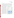Ambient Hydrogen Sulfide Analyzers Generic Verification Protocol Page 16 of 45 September 2005

#### **A6.3 Test Site**

The test site should be an AFO, such as a large swine finishing farm. The layout of a farm as an example test site is shown in Figure 2. The farm has ten animal barns arranged in two parallel rows of five, with each barn housing up to 2,000 swine. The overall test schedule shown in Table 1 (Section A6.2) should begin at least six weeks after the farm is populated by feeder pigs. At this farm, urine and feces from the swine leave the barns through wood slats in the floor and are flushed through underground piping into

a nutrient lagoon located on the southern end of the farm; supernatant liquid from the primary<br>
lagoon is pumped into a secondary storage<br>
lagoon and used to fertilize nearby fields. The<br>
perimeter of the farm is lined with trees and<br>
agricultural fields surround the pe lagoon is pumped into a secondary storage lagoon and used to fertilize nearby fields. The perimeter of the farm is lined with trees and agricultural fields surround the perimeter. The primary  $H_2S$  source is expected to be the lagoons, so a temperature-regulated instrument trailer  $N$ should be placed on-site during the test to house  $\uparrow$   $\frac{1}{N}$  Trailer the monitoring equipment and to provide a sheltered work space near the lagoons. The  $H_2S$  Primary analyzers will be installed inside the instrument trailer and a Teflon inlet line or manifold will be used to sample ambient air. Sample tubing lengths will be minimized both for ambient air sampling and for delivery of gas standards.



**Figure 2. Example Test Site at an AFO**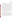#### **A7 QUALITY OBJECTIVES**

In performing the verification test, Battelle will follow the technical and QA procedures specified in this protocol and will comply with the data quality requirements in the AMS Center  $QMP<sup>(2)</sup>$  This verification test will evaluate the performance of analyzers for determining H<sub>2</sub>S in ambient air at an AFO. This evaluation will include a comparison of the analyzer results to the results of one or more reference methods for H<sub>2</sub>S. The quality of the reference measurements will be monitored by inclusion of blank samples, performance evaluation (PE) audit samples, and duplicate samples, when applicable. The PE audit samples will be prepared independent of those used for reference method calibration. These samples are meant to independently confirm that the reference measurements are being performed correctly and are producing accurate results. Control limits on the duplicate and PE samples are given in Section C1. All H<sub>2</sub>S standards to be used to challenge the H<sub>2</sub>S analyzers and to prepare PE audit samples must meet National Institute of Standards and Technology (NIST) traceability. Commercially available compressed gas standards or permeation devices may be used in this test.

The Battelle Quality Manager or designate will perform a technical systems audit (TSA) at least once during this verification test to ensure that the quality objectives of the test are being met. The EPA Quality Manager also may conduct an independent TSA, at his or her discretion.

#### **A8 SPECIAL TRAINING/CERTIFICATION**

Documentation of training related to technology testing, field testing, data analysis, and reporting is maintained for all Battelle technical staff in training files. Battelle technical staff will have a minimum of a bachelor's degree in science/engineering or have equivalent work experience. Documentation of the expertise and experience of collaborators and/or subcontractors in H<sub>2</sub>S reference method sampling and analysis must similarly be available. The Battelle Quality Manager may verify the presence of appropriate training records prior to the start of testing. If technical staff operate and/or maintain an analyzer during the verification test, the analyzer vendor will be required to train those staff prior to the start of testing. Battelle will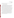document this training with a consent form, signed by the vendor, that states which specific technical staff have been trained on their analyzer.

#### **A9 DOCUMENTATION AND RECORDS**

The records for this verification test will include this protocol, chain-of-custody (COC) forms, laboratory record books (LRB), data collection forms, electronic files (both raw data and spreadsheets), and the final verification report and verification statement for each  $H_2S$  analyzer. All of these records will be maintained in the Verification Test Coordinator's office or the test site during the test and will be transferred to permanent storage at Battelle's Records Management Office at the conclusion of the verification test. The location (e.g., specific personal computer, server, or media type and storage location) of final versions of the electronic files will be noted in the test records. All Battelle LRBs are stored indefinitely, either by the Verification Test Coordinator or Battelle's Records Management Office. EPA will be notified before disposal of any files. The documentation and results of the  $H<sub>2</sub>S$  reference measurements made by the reference laboratory will be submitted to Battelle immediately upon completion of all sample analyses, review of the  $H_2S$  data, and calculation of ambient  $H_2S$  concentrations, preferably on a daily basis. Section B10 further details the data recording practices and responsibilities.

All written records must be in ink. Any corrections to notebook entries, or changes in recorded data, must be made with a single line through the original entry. The correction is then to be entered, initialed, and dated by the person making the correction. In all cases, strict confidentiality of data from each vendor's analyzer, and strict separation of data from different analyzers, will be maintained. Separate files (including manual records, printouts, and/or electronic data files) will be kept for each analyzer.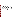#### **SECTION B**

#### **MEASUREMENT AND DATA ACQUISITION**

#### **B1 EXPERIMENTAL DESIGN**

This test will specifically address verification of analyzers for ambient  $H_2S$  under the conditions of an AFO (e.g., a swine finishing farm) by evaluating the accuracy, bias, linearity, and selectivity of H<sub>2</sub>S measurements made by each analyzer in ambient air and/or synthetic gas mixtures, their response to rapid changes in H<sub>2</sub>S concentration, the extent of baseline and calibration drift, and the ability of the analyzers to perform continuous monitoring with minimal intervention. The precision of the analyzer measurement data while sampling synthetic  $H_2S$  gas mixtures will also be determined. Specifically, the  $H_2S$  analyzers will be evaluated for the performance parameters summarized in Table 3 and discussed in detail in the following section.

In addition to the testing activities specified in this protocol, technical staff will perform regular maintenance and other routine procedures requested by the vendor for their analyzer. This information will be summarized by the vendor in a "daily checklist" that will include specific instructions and frequency for each regular maintenance activity or routine procedure, any diagnostic values that should be recorded and typical or acceptable ranges for those values, vendor contact information, and a space for technical staff to sign and date the form daily upon completion of the items on the checklist.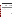| Performance<br><b>Parameter</b> | <b>Method of Evaluation</b>                                                                                               |  |  |  |
|---------------------------------|---------------------------------------------------------------------------------------------------------------------------|--|--|--|
| Accuracy                        | Analyzer response to H <sub>2</sub> S standards compared to nominal concentrations                                        |  |  |  |
| <b>Bias</b>                     | Analyzer response to H <sub>2</sub> S standards compared to nominal concentrations                                        |  |  |  |
| Precision                       | Percent relative standard deviation (%RSD) of repeated analysis H <sub>2</sub> S standards<br>with the same concentration |  |  |  |
| Linearity                       | Analyzer response to H <sub>2</sub> S standards compared to nominal concentrations                                        |  |  |  |
| Span and Zero Drift             | Stability of analyzer response to zero air and H <sub>2</sub> S gas standard over time                                    |  |  |  |
| Response Time                   | Time required to reach 95% of response to $H_2S$ gas standards                                                            |  |  |  |
| Interference Effects            | Analyzer response to potential interferants compared to nominal concentrations                                            |  |  |  |
| Comparability                   | Analyzer response to ambient air compared to results of one or more reference<br>methods                                  |  |  |  |
| Data Completeness               | Percentage of maximum data return over field period                                                                       |  |  |  |
| <b>Operational Factors</b>      | Operator observations, records of needed and performed maintenance, vendor<br>activities, use of expendable supplies      |  |  |  |

**Table 3. Verification Test Performance Parameters** 

#### **B1.1 Test Procedures**

The following sections describe the test procedures that will be used to evaluate each of the H2S analyzer performance parameters listed in Table 3. Procedures will be conducted on each analyzer separately unless a common manifold, such as the Teflon manifold shown in Figure 3, is used to deliver challenge gases and sample ambient air. If a manifold is used, testing activities will be performed on the  $H_2S$  analyzers simultaneously. A pump should be installed at the outlet port and configured to draw a flow through the manifold that is in excess of that required by the  $H_2S$  analyzers.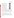Ambient Hydrogen Sulfide Analyzers Generic Verification Protocol Page 21 of 45 September 2005

The electronic analyzer responses will be recorded continuously throughout the verification test at a specified frequency (e.g., every minute). Each gas standard will be delivered for a minimum of 20 minutes to allow for stabilization of the analyzer response. Gas standards will be prepared from the dilution of higher concentration (i.e., 2-500 part per million) standard cylinders in zero air using a calibrated dilution system, preferably with heated, silanized internal components. Gas standards will be supplied in excess of the analyzer sample flow rate; the excess flow will be vented outside the trailer to ambient





for at least 5 minutes at a higher  $H<sub>2</sub>S$  concentration to ensure that the tubing and internal components of the dilution system have been thoroughly flushed before supplying gas standards to the analyzers. The H2S analyzers should be calibrated prior to the start of the verification test using a dilution from the same gas standard and dilution system used for testing to avoid the potential for bias due to differences in the actual  $H_2S$  concentration of gas standards.

#### *B1.1.1 Accuracy, Bias, Precision, and Linearity*

At least twice during the verification test, the analyzers will be challenged with compressed H2S gas standards diluted in zero air to achieve measurements over a range of concentrations from approximately 0 to 100 ppb (or the upper range of measurement of the analyzer being tested, whichever is lower). If the ambient  $H<sub>2</sub>S$  concentrations are found to be significantly higher than 100 ppb, additional  $H_2S$  gas dilutions may be tested to reflect the actual range, if possible.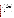Ambient Hydrogen Sulfide Analyzers Generic Verification Protocol Page 22 of 45 September 2005

At least three non-consecutive measurements will be recorded at each of a minimum of five different nominal concentration levels. Each concentration will be supplied to the analyzer(s) for at least twenty minutes. A programmable dilution system may be used to automatically supply the diluted gas standards to the  $H_2S$  analyzer(s) at fixed time intervals. Table 4 shows the nominal  $H_2S$  concentration values to be supplied to the analyzers being tested, and the order in which the concentrations will be supplied, for conditions where the maximum H<sub>2</sub>S level encountered at the site is  $\sim$ 100 ppb. If H<sub>2</sub>S concentrations greater than 200 ppb are encountered, the H<sub>2</sub>S challenge gas concentrations may be modified upwards (e.g., to  $0, 20, 60,$ ) 100, and 200 ppb) to more accurately reflect the range of ambient  $H_2S$  levels. As Table 4 indicates, the  $H_2S$  concentrations will first be supplied to the analyzers in increasing order, then in random order, and finally in decreasing order. After the last measurement has been recorded, the analyzer will be returned to sampling of ambient air.

| Concentration                       | $0$ ppb | $10$ ppb | 30 ppb | $50$ ppb | $100$ ppb |
|-------------------------------------|---------|----------|--------|----------|-----------|
|                                     |         |          |        |          |           |
| <b>Measurement</b><br><b>Number</b> |         | ιU       |        |          |           |
|                                     |         | 14       |        |          |           |

Table 4. Approximate H<sub>2</sub>S Concentrations and Order for Multi-point Challenges

The analyzer response to the series of  $H<sub>2</sub>S$  gas standards will be used to evaluate accuracy, bias, precision, and linearity. Section B1.2 presents the statistical procedures that will be used to evaluate the data generated during the verification test. Accuracy will be calculated at each concentration and for each replicate relative to the nominal H<sub>2</sub>S concentration. Bias will be calculated for each series of multi-point H2S challenges. The analyzer precision will be demonstrated by the reproducibility of the analyzer response at each nominal  $H_2S$  concentration after a stable reading is achieved. Linearity will be assessed by establishing a multi-point calibration curve from the analyzer response.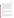#### *B1.1.2 Span and Zero Drift*

The "baseline" response of each analyzer to zero air and a mid-level (e.g., 30 ppb) dilution of a compressed H<sub>2</sub>S gas standard will be determined during the first week of testing. Each analyzer will be alternately challenged with the diluted  $H_2S$  gas standard and zero air, for a total of five replicates of both the gas standard and zero air. Each gas will be supplied sequentially to the analyzer for at least twenty minutes. The switch between zero air and the  $H_2S$ standard will be made as quickly as possible if conducted manually; a programmable dilution system will be used if available. The mean and standard deviation of the analyzer response to zero air and to the 30 ppb H<sub>2</sub>S standard will be calculated from the five replicates.

Twice each week (preferably Monday and Friday) during the verification test, zero air and a 30 ppb H<sub>2</sub>S standard will again be supplied to each of the analyzers being tested for twenty minutes each for a total of nine zero/span checks. Each response will be compared to baseline response to determine whether or not drift has occurred in the analyzer response to zero air or the 30 ppb  $H_2S$  standard.

#### *B1.1.3 Response Time*

The data collected for the zero/span check (Section B1.1.2) will also be used to determine the analyzer response time. The 95% rise time will be calculated for changes from zero air to a mid-level (e.g., 30 ppb)  $H<sub>2</sub>S$  standard and the 95% fall time will be calculated for changes from the mid-level standard to zero air. A minimum of three individual measurements will be used to determine the average rise and fall times.

#### *B1.1.4 Interference effects*

The analyzers being tested will be challenged with a series of gases, such as the potential interferants listed in Table 5, that may be present at an AFO and could interfere with the analyzer response to H<sub>2</sub>S. Each interferant should be supplied at approximately its ambient concentration, in the presence and absence of 100 ppb H<sub>2</sub>S. Example concentrations are also shown in Table 5. Zero air will be supplied to the analyzers for at least twenty minutes and the responses will be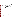recorded. A 100 ppb H<sub>2</sub>S standard will be supplied to the analyzers for at least twenty minutes and the responses will be recorded. The analyzer will then be flushed with zero air for at least two minutes. The first interferant  $(e.g., SO<sub>2</sub>)$  will be diluted with zero air to the appropriate concentration (e.g., 100 ppb) and delivered to the analyzers for at least twenty minutes. The analyzer responses will be recorded and each analyzer flushed for at least two minutes with zero air. A mixture of the first interferant (100 ppb  $SO<sub>2</sub>$ ) with 100 ppb  $H<sub>2</sub>S$  in zero air will then be supplied to each analyzer for at least twenty minutes. The analyzer responses will be recorded, and zero air will be supplied to each analyzer for approximately two minutes. This process will be repeated for each of the interferants at the concentrations chosen. The interferant challenges need not all be completed in a single day.

| <b>Example Interferant</b>       | <b>Approximate Concentration</b><br>(ppb) |
|----------------------------------|-------------------------------------------|
| Sulfur dioxide                   | 100                                       |
| Carbonyl sulfide                 | 100                                       |
| Carbon disulfide                 | 100                                       |
| Methyl mercaptan                 | 100                                       |
| Dimethyl sulfide                 | 100                                       |
| Hydrocarbon blend <sup>(a)</sup> | $500$ (total)                             |
| mmonia                           | 500                                       |

**Table 5. Interferants and Approximate Concentrations for Interference Checks** 

(a) Equal mixture of methane, ethane, propane, butane, pentane, and hexane

#### *B1.1.5 Comparability*

The comparability of the  $H_2S$  analyzer response to ambient air will be evaluated by comparing the analyzer response to an H<sub>2</sub>S reference method, which will be carried out by the reference laboratory. The reference method should follow ASTM International Method D5504  $01^{(8)}$  for the determination of sulfur compounds using GC, and may use pulsed flame photometric detection (PFPD) instead of SCD. As discussed in Section B2, reference samples may be collected as time-integrated air samples in silanized canisters and/or air samples may be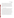cryotrapped *in situ* and analyzed immediately at the field site. If two sample collection method are used, results from the two methods will be compared to one another by calculating the relative percent difference (RPD) (the difference between the two reference method values divided by the average). This comparison will assess whether the different sample collection techniques produced differences in the measured H<sub>2</sub>S concentrations. Reference results from each sample collection method will be compared separately to the H<sub>2</sub>S analyzer measurements. Details of the reference sample collection procedure and analytical methods are provided in sections B2 and B4, respectively. The QC procedures for the reference methods are described in section B5.

#### B1.1.1.5a Time-integrated Comparability

Time-integrated air samples may be collected in silanized canisters and transported to the reference laboratory for analysis. Sample duration and frequency should be optimized based on canister size and flow rate and the availability of the reference laboratory. Sampling in 1.4 L canisters with a fill rate of approximately 2 standard cubic centimeters per minute (sccm) will serve as an example. In this case, samples would be collected over two eight-hour intervals on each sampling day on approximately the following schedule: 10:00 p.m. to 6:00 a.m. and 6:00 a.m. to 2:00 p.m. These sampling times allow time for analysis by the reference laboratory in the afternoon following sample collection. Samples collected in canisters should be analyzed within 24 hours of sample collection.(8) Time-integrated reference measurements should be conducted on a minimum of ten days during the field period. The samples may be collected twice per week or collected at a higher frequency during shorter measurement intensives. The results of a minimum of 15 time-integrated reference method measurements that are greater than the reference method quantitation limit should be compared to the time-averaged analyzer responses over the same time periods to give the time-integrated comparability of  $H_2S$  analyzers.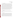#### B1.1.1.5b *In situ* Comparability

*In situ* H<sub>2</sub>S reference measurements may be conducted in addition to or instead of timeintegrated measurements. The instrumentation for the *in situ* method should be installed in the instrument trailer at the test site. Discrete air samples will be drawn from the same location outside of the trailer, or preferably from the common sampling manifold, over a relatively short time period (e.g., two to 30 minutes). Volatile compounds in the samples will be cryotrapped, thermally desorbed, and injected directly onto the GC-PFPD or GC-SCD system. To the extent possible, the duration of sample collection will be coordinated with the sampling frequency of the H2S analyzers being tested. *In situ* reference measurements should be conducted for approximately 8 hours per day for ten days during the verification test. The results of a minimum of 60 *in situ* H<sub>2</sub>S reference method measurements should be compared to the analyzer responses to ambient air recorded at the same time. If the measurement frequency of the *in situ* H<sub>2</sub>S reference method and the H<sub>2</sub>S analyzer being tested do not match in time within  $\pm$  two minutes, each data set will be averaged to common time intervals (e.g., hourly averages).

#### *B1.1.6 Data Completeness*

No additional test procedures will be carried out specifically to address data completeness. This parameter will be assessed based on the overall data return achieved by each analyzer.

#### *B1.1.7 Operational Factors*

Operational factors such as maintenance needs, data output, consumables used, ease of use, repair requirements, etc., will be evaluated based on observations recorded by technical staff. A checklist of should be prepared for each analyzer by the vendor representative and completed daily by technical staff to verify the operation of each H2S analyzer and to identify signs of malfunction. An example checklist is shown in Appendix A. A separate LRB will be maintained at the test site for each analyzer undergoing testing, and will be used to enter additional daily observations on operational factors. Examples of information to be recorded in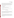the record books include the daily status of diagnostic indicators for the analyzer; use or replacement of any consumables; the effort or cost associated with maintenance or repair; vendor effort (e.g., time on site) for repair or maintenance; the duration and causes of any analyzer down time or data acquisition failure; and operator observations about ease of use of the analyzer. These observations will be summarized to aid in describing analyzer performance in the verification report on each analyzer.

#### **B1.2 Statistical Analysis**

The statistical methods and calculations used for evaluation of the quantitative performance parameters are described in the following sections.

#### *B1.2.1 Accuracy*

Accuracy of the  $H_2S$  analyzers with respect to the individual  $H_2S$  gas standards will be assessed as the percent recovery (%R), using Equation 1:

$$
\%R = \left[1 + \left(\frac{Y - X}{X}\right)\right] \times 100\tag{1}
$$

where Y is the average measured  $H_2S$  analyzer value and X is the nominal  $H_2S$  gas standard concentration. The average, minimum, and maximum %R values will be reported for each series of multi-level H<sub>2</sub>S challenges. A %R value of 100% indicates perfect agreement between the H<sub>2</sub>S analyzer value and the nominal  $H_2S$  gas standard concentration.

#### *B1.2.2 Bias*

Bias of the  $H_2S$  analyzers is defined as a systematic error in measurement that results in measured error that is consistently positive or negative compared to the true value. The bias will be calculated as the average percent difference  $(\%D)$  of the H<sub>2</sub>S analyzer compared to the nominal  $H_2S$  gas standard concentration and will be calculated for each series of multi-point  $H_2S$ challenges, using Equation 2: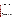Ambient Hydrogen Sulfide Analyzers Generic Verification Protocol Page 28 of 45 September 2005

$$
\% \overline{D} = \frac{1}{k} \sum_{i=1}^{k} \left( \frac{Y - X}{X} \right)_i \times 100 \tag{2}
$$

where  $k$  is the number of valid comparisons, and Y and X are the same as stated in B1.2.1.

#### *B1.2.3 Reproducibility*

The reproducibility of the H<sub>2</sub>S analyzers will be evaluated from the triplicate responses to each H<sub>2</sub>S gas standard supplied during the multi-point challenges (outlined in Table 4). The reproducibility will be defined as the percent relative standard deviation (%RSD) of the triplicate measurements and calculated for each H<sub>2</sub>S concentration listed in Table 4, using Equations 3 and 4:

$$
SD = \sqrt{\frac{\sum (Y - \overline{Y})^2}{n - 1}}
$$
\n(3)

$$
\%RSD_i = \frac{SD_i}{\overline{Y}_i} \times 100\tag{4}
$$

where Y is the individual analyzer response at each concentration,  $\overline{Y}$  is the average analyzer response from the triplicate measurements at H<sub>2</sub>S concentration  $i$  ( $i = 10, 30, 50,$  and 100 ppb), and SD the standard deviation of the analyzer responses at that concentration. The overall average %RSD will also be calculated for each series of multi-point  $H_2S$  challenges and will include the %RSD for all  $H_2S$  concentrations tested.

#### *B1.2.4 Linearity*

Linearity will be assessed by a linear regression analysis using the diluted  $H_2S$  standard gas concentrations as the independent variable and results from the H<sub>2</sub>S analyzers being tested as the dependent variable. Linearity will be expressed in terms of slope, intercept, and coefficient of determination  $(r^2)$ .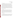#### *B1.2.5 Span and Zero Drift*

The "baseline" response of the  $H_2S$  analyzers to zero air and the 30 ppb  $H_2S$  standard will be established on the first day of testing, as outlined in Section B1.1.2. The mean  $(\overline{Y})$  and standard deviation (SD) of the analyzer response to zero air and 30 ppb H<sub>2</sub>S will each be calculated from the five replicate measurements conducted on the first day of testing. From these values, a control chart will be constructed and the  $\overline{Y} \pm 2SD$  "warning limit" and the  $\overline{Y} \pm 3SD$ "action limit" calculated. Span drift will be defined as having occurred if three consecutive span checks fall either above or below the warning limit. Zero drift will also be defined as having occurred if three consecutive zero checks fall either above or below the warning limit. However, if the mean and/or standard deviation from the baseline zero check are equal to zero, the warning limits may not be meaningful. In this case, the absolute differences to the zero air baseline mean will be reported for each zero check.

#### *B1.2.6 Response Time*

Response time will be assessed in terms of both the rise and fall times of each  $H_2S$ analyzer when sampling the 30 ppb  $H_2S$  gas standard and zero air on the first day of testing (Section B1.1.2). Rise time (i.e.,  $0\%$  - 95% response time for the change in H<sub>2</sub>S concentration) will be determined from the analyzer response to a rapid increase in the delivered  $H_2S$ concentration. Once a stable response is achieved with the  $H<sub>2</sub>S$  standard, the 95% fall time (i.e., the 100% to 5% response time) will be determined in a similar way, switching from the  $H_2S$ standard back to zero air.

#### *B1.2.7 Interference Effects*

The interference effects of the  $H_2S$  analyzers will be calculated in terms of the ratio of the response of the analyzer to the interferant relative to the actual concentration of the interfering species. For example, if 100 ppb of an interfering species results in a 1 ppb change in the response of the analyzer, the interference effect will be reported as 1% (i.e., 1 ppb/100 ppb).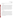Interference effects will be reported separately for each interferant both in the absence and in the presence of H<sub>2</sub>S in zero air.

#### *B1.2.8 Comparability*

Comparability between the  $H_2S$  analyzer results and the reference method results will be assessed by linear regression using the reference method H<sub>2</sub>S concentrations as the independent variable and results from the H<sub>2</sub>S analyzers being tested as the dependent variable. Linearity will be expressed in terms of slope, intercept, and  $r^2$ , and will be calculated independently for the time-integrated H<sub>2</sub>S reference method and the *in situ* H<sub>2</sub>S reference method. It is expected that the measured concentration of  $H_2S$  will vary by at least a factor of five during each phase of testing. However, if this magnitude of variation is not achieved for one or both of the reference methods, comparability for that method will be calculated using Equation 1 and Equation 2 and reported as a percent recovery and bias, rather than in terms of the linear regression results. As appropriate, tests of statistical significance may be used in addition to or in place of linear regression analysis.

#### *B1.2.9 Data Completeness*

Data completeness will be calculated as the percentage of the total possible data return over the entire field period that is achieved by each analyzer. This calculation will use the total hours of data recorded from each analyzer, divided by the total hours of data in the entire field period. The field period is defined to begin at 8:00 a.m. on the first day of testing and to end at the completion of the last testing activity or 5:00 p.m. on the final day of the field period, whichever is later. No distinction will be made in this calculation between data recorded during a specific test activity (e.g., data recorded for comparison to  $H<sub>2</sub>S$  reference method data) and that recorded during routine ambient air monitoring. The causes of any substantial incompleteness of data return will be established from operator observations or vendor records, and noted in the discussion of data completeness results.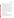#### **B1.3 Reporting**

The statistical comparisons described above will be conducted separately for each of the analyzers being tested, and information on the operational parameters will be compiled and reported. The data for each analyzer will be kept separate from data for all other analyzers, and no intercomparison of the analyzer data will be performed at any time. A separate verification report will be prepared for each analyzer tested, presenting the test procedures and test data, as well as the results of the statistical evaluation of those data.

Operational aspects of the analyzers will be recorded by technical staff at the time of observation during the field test, and summarized in the verification report. For example, descriptions of the data-acquisition procedures, use of vendor-supplied proprietary software, consumables used, repairs and maintenance needed, and the nature of any problems will be presented in the report. Each verification report will briefly describe the ETV program, the AMS Center, and the procedures used in verification testing. The results of the verification test will be stated quantitatively, without comparison to any other analyzer tested, or comment on the acceptability of the analyzer's performance. Each draft verification report will first be subjected to review by the respective analyzer vendor, then revised and subjected to a review by EPA and other peer reviewers. The peer review comments will be addressed in further revisions of the report, and the peer review comments and responses will be tabulated to document the peer review process. The reporting and review process will be conducted according to the requirements of the AMS Center QMP.(2)

#### **B2 REFERENCE SAMPLE COLLECTION**

#### **B2.1 Time-integrated H<sub>2</sub>S Reference Method**

The time-integrated reference method will utilize air samples that will be collected in evacuated silanized canisters, which will be transported from the field site to the reference laboratory for analysis. A restrictive sampler will be used to control the fill rate over the appropriate time period and maintain sub-ambient pressure in the canister at the completion of sampling (i.e., fill to  $\sim80\%$  capacity). Under sub-ambient pressure, H<sub>2</sub>S scavenging by water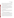vapor has been shown to be negligible in canisters with Silcosteel®-treated surfaces at 50% relative humidity for at least 48 hours.<sup>(9)</sup> All components that contact ambient air samples will be Teflon or passivated metal (e.g., Silcosteel® or Silonite) to minimize scavenging of H<sub>2</sub>S by bare metal or other surfaces. In accordance with ASTM Method D5504-01,<sup>(8)</sup> canister samples will be analyzed by GC-PFPD or GC-SCD within 24 hours.

As indicated in ASTM Method D5504-01,<sup>(8)</sup> it has been demonstrated that  $H_2S$  in passivated canisters does not degrade over 24 hours; therefore, detailed holding time tests are not necessary. However, the acceptability of this holding time will be verified by analyzing an ambient air sample several times over the period (at least 24 hours) following sample collection. The H2S concentration at 24 hours following sample collection should be within 15% of the initial measured value. Holding time verifications will be performed at least once before the start of the verification test and again mid-way through the test.

#### **B2.2 In situ H<sub>2</sub>S Reference Method**

Reference samples need not be collected for the *in situ* H<sub>2</sub>S reference method, since this approach relies on direct cryotrapping of volatile components from a small sample air flow over a relatively short time period, followed immediately by thermal desorption and GC-PFPD or GC-SCD analysis.

#### **B3 SAMPLE HANDLING AND CUSTODY REQUIREMENTS**

Custody of all reference samples will be documented from sample collection through sample recovery, transport, and analysis. Samples will be carried by technical staff or shipped to the reference laboratory for analysis. Sample custody will be documented throughout installation of the canisters at the field site, ambient air collection, recovery of the sample canisters, transport, and analysis of the reference samples, using standard forms provided by the reference laboratory for this purpose or forms provided by Battelle. Each COC form will be signed by the person relinquishing samples once that person has verified that the COC form is accurate. Upon receipt at the laboratory, COC forms will be signed by the person receiving the samples once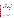that person has verified that all samples identified on the COC forms are present. Any discrepancies will be noted on the form and the sample receiver will immediately contact the Verification Test Coordinator to report missing or compromised samples. Copies of all COC forms will be delivered to the Verification Test Coordinator upon request, and maintained with the test records.

#### **B4 ANALYTICAL REFERENCE METHODS**

Although the ASTM H<sub>2</sub>S method is primarily for determination of sulfur compounds in natural gas and gaseous fuels, it has successfully been applied to  $H_2S$  detection in ambient air.<sup>(8)</sup> Both of the reference methods described in this protocol follow the ASTM method<sup>(8)</sup> and adhere to the general measurement principle of H<sub>2</sub>S determination by GC with SCD or other detection technique. A cryofocus interface and thermal desorption may be utilized to deliver the ambient air sample to the GC for separation. Instead of SCD, PFPD may be used to detect  $H_2S$ . GS-Gaspro capillary columns (J & W Scientific) may be used for separating  $H_2S$  in ambient air. QC procedures for both reference methods are described in section B5.

#### **B4.1 Time-integrated H<sub>2</sub>S Reference Method**

A multi-point calibration curve for H<sub>2</sub>S will be constructed before reference analyses are conducted using dilute standards prepared from NIST-traceable certified H<sub>2</sub>S compressed gas standards. Variable injection volumes may be used to establish the calibration curve or several gas concentrations will be prepared using a dynamic dilution system, transferred into Silonite canisters, and analyzed in the same manner as the reference samples. All analyses of reference and QA/QC samples will be conducted by the reference laboratory. The reference laboratory will be responsible for providing the analytical instrumentation, calibrating that instrumentation, performing method QA/QC (see Section B5), and maintaining calibration records for any instrumentation used. The reference laboratory will be required to provide Battelle with documentation on calibration and QC of the reference analyses.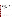#### **B4.2 In situ H<sub>2</sub>S Reference Method**

A multi-point calibration curve for H<sub>2</sub>S will be constructed at the test site before reference method measurements will be conducted, using dilute standards prepared from NISTtraceable certified H<sub>2</sub>S compressed gas standards or certified permeation tubes and sampled in the same way as ambient air. All analyses of reference and QA/QC samples for the *in situ*  reference method will be conducted by the reference laboratory. The reference laboratory will be responsible for providing the analytical instrumentation, calibrating that instrumentation, performing method QA/QC (see Section B5), and maintaining calibration records for any instrumentation used and will be required to provide Battelle with documentation on calibration and quality control of the reference analyses.

#### **B5 QUALITY CONTROL**

Steps will be taken to maintain the quality of the data collected during this verification test. Table 6 summarizes the QC requirements for the reference methods during this test**.**  Although these requirements differ from the suggested QA procedures outlined in ASTM method D5504-01,<sup> $(8)$ </sup> they are more appropriate for the detection of H<sub>2</sub>S at ppb levels (versus part per million levels) in an ambient air matrix. Reference methods will be required to analyze continuing calibration verifications (CCV), quality control samples (QCS), and field blanks. The time-integrated H<sub>2</sub>S reference method will also be required to repeat analyses of 10% of the samples to verify method precision. The reference analytical procedures will be maintained to meet these requirements. If the analytical performance is outside of the required tolerances, the relevant QC samples will be prepared again and reanalyzed. If performance problems persist, the reference instrument(s) will be recalibrated, and/or affected samples will be reanalyzed. Reference sample results not meeting these requirements will be excluded from comparison to the H2S analyzer results. If possible, matrix spike samples should also be analyzed. A minimum of 15 time-integrated reference measurements and/or 60 *in situ* reference measurements that meet these QC requirements must be collected for use in the comparability comparisons, as stated in sections B1.1.1.5a and B1.1.1.5b, respectively.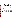| <b>QC</b> Parameter     | <b>Addressed By</b>                                                                                                                                                     | <b>Required Performance</b>                                          |
|-------------------------|-------------------------------------------------------------------------------------------------------------------------------------------------------------------------|----------------------------------------------------------------------|
| <b>CCV</b>              | $CCV$ (mid-range $H_2S$ gas standard) run<br>before analysis of reference samples each<br>day                                                                           | %D of CCV result within 30% of<br>expected value                     |
| <b>QCS</b>              | $QCS$ (mid-range $H_2S$ gas standard) run<br>every 4 hours and after analysis of<br>reference samples each day                                                          | %D of QCS result within 30%<br>compared to expected value            |
| Reproducibility         | Analyze 10% of all samples twice <sup>(a)</sup>                                                                                                                         | Results within 30% of one another                                    |
| Measurement<br>accuracy | Analyze H <sub>2</sub> S standard from independent<br>source <sup>(b)</sup>                                                                                             | Results within 30% of expected value                                 |
| Field blanks            | Analyze canisters filled with zero air<br>recovered from the field site (weekly) $^{(a)}$<br>Analyze zero air passed through sample<br>manifold (weekly) <sup>(c)</sup> | If blank $>30\%$ of sample H <sub>2</sub> S, data<br>must be flagged |

**Table 6. Reference Method Quality Control Requirements and Target Acceptance Criteria** 

(a) Time-integrated H<sub>2</sub>S reference method only.<br>
(b) This standard will be provided as part of the Performance Evaluation audit (Section C.1.1).<br>
(c) *In situ* H<sub>2</sub>S reference method only.

#### **B6 INSTRUMENT/EQUIPMENT TESTING, INSPECTION, AND MAINTENANCE**

The equipment used for the reference sampling and analysis (e.g., GC, detector, gas standard dilution equipment, flow controllers, flow meters) will be tested, inspected, and maintained as per the standard operating procedures of the reference laboratory and/or the manufacturer recommendations, so as to meet the performance requirements established in this document. When technical staff operate and maintain the H<sub>2</sub>S analyzers undergoing testing, those activities will be done as directed by the vendor. Otherwise, operation and maintenance of the analyzers will be the responsibility of the analyzer vendors.

#### **B7 INSTRUMENT CALIBRATION AND FREQUENCY**

The GC-PFPD or GC-SCD systems used for the reference H<sub>2</sub>S analyses will be calibrated before any reference samples will be analyzed and recalibrated as needed based on the results from CCV samples. The calibration of other instrumentation used in this verification test, such as dilution systems and flow readers, will be verified immediately prior to use in this verification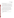test. A minimum of three flow rates for each flow controller or flow reader will be verified with an independent factory-calibrated flow meter. The H<sub>2</sub>S analyzers undergoing testing will be calibrated initially by the respective

analyzer vendors at the time of installation at the test site using H<sub>2</sub>S gas standards independent of those used for testing activities. Calibration checks will be performed upon direction by the analyzer vendor. In the event that recalibration is necessary, that recalibration will be carried out by the analyzer vendor, or by Battelle staff under the direction of the vendor. All calibrations performed will be documented by technical staff in the LRB dedicated to the respective analyzer.

#### **B8 INSPECTION/ACCEPTANCE OF SUPPLIES AND CONSUMABLES**

All materials, supplies, and consumables will be ordered by the Verification Test Coordinator or designee. Where possible, Battelle will rely on sources of materials and consumables that have been used previously as part of ETV verification testing without problems. Battelle will also rely on previous experience or recommendations from peer reviewers, EPA advisors, test collaborators, subcontractors, or analyzer vendors. H<sub>2</sub>S gas standards will have NIST-traceable certifications, when possible.

#### **B9 NON-DIRECT MEASUREMENTS**

Data published previously in the scientific literature will not be used during this verification test.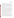#### **B10 DATA MANAGEMENT**

Various types of data will be acquired and recorded electronically or manually by Battelle, vendor, collaborator, and/or subcontractor staff during this verification test. Table 7 summarizes the types of data to be recorded. All maintenance activities, repairs, calibrations, and operator observations relevant to the operation of the H2S analyzers will be documented by technical staff in LRBs. A separate LRB will be provided for each participating analyzer. Results from the reference methods, including raw data, analysis, and final results, will be compiled by the reference laboratories in electronic format, and submitted to Battelle at the conclusion of reference  $H_2S$  analyses.

Records received by or generated by any technical staff during the verification test will be reviewed by a Battelle staff member within two weeks of generation or receipt, respectively, before the records are used to calculate, evaluate, or report verification results. If a Battelle staff member generated the record, this review will be performed by a Battelle technical staff member involved in the verification test, but not the staff member who originally generated the record. The review will be documented by the person performing the review by adding his/her initials and date to the hard copy of the record being reviewed. In addition, any calculations performed by technical staff will be spot-checked by Battelle QA and/or technical staff to ensure that calculations are performed correctly. Calculations to be checked include any statistical calculations described in this protocol. The data obtained from this verification test will be compiled and reported independently for each H<sub>2</sub>S analyzer. Results for analyzers from different vendors will not be compared with each other.

Among the QA activities conducted by Battelle QA staff will be an audit of data quality. This audit will consist of a review by the Battelle Quality Manager of at least 10% of the test data. During the course of any such audit, the Battelle Quality Manager will inform the technical staff of any findings and any immediate corrective action that will be taken. If serious data quality problems exist, the Battelle Quality Manager will request that Battelle's AMS Center Manager issue a stop work order. Once the assessment report has been prepared, the Verification Test Coordinator will ensure that a response is provided for each adverse finding or potential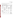problem, and will implement any necessary follow-up corrective action. The Battelle Quality Manager will ensure that follow-up corrective action has been taken.

| Data to Be<br><b>Recorded</b>                                                                                 | <b>Where Recorded</b>                                                                                   | <b>How Often</b><br><b>Recorded</b>                                                                             | <b>By Whom</b>                                                     | <b>Disposition of</b><br>Data                                                                                                   |
|---------------------------------------------------------------------------------------------------------------|---------------------------------------------------------------------------------------------------------|-----------------------------------------------------------------------------------------------------------------|--------------------------------------------------------------------|---------------------------------------------------------------------------------------------------------------------------------|
| Dates, times, and<br>details of test<br>events, analyzer<br>maintenance, down<br>time, etc.                   | ETV LRBs or data<br>recording forms                                                                     | Start/end of test<br>procedure, and at<br>each change of a<br>test parameter or<br>change of analyzer<br>status | Technical staff                                                    | Used to organize<br>and check test<br>results; manually<br>incorporated in data<br>spreadsheets as<br>necessary                 |
| Analyzer calibration<br>information                                                                           | ETV LRBs or<br>electronically                                                                           | At analyzer<br>calibration or<br>recalibration                                                                  | Electronic data by<br>Vendor; LRB<br>entries by technical<br>staff | Incorporated in<br>verification report<br>as necessary                                                                          |
| Analyzer H <sub>2</sub> S<br>readings                                                                         | Recorded<br>electronically by<br>each analyzer and<br>then downloaded to<br>computer at least<br>weekly | Recorded<br>continuously                                                                                        | Analyzer vendor,<br>for transfer to<br>technical staff             | Converted to<br>spreadsheet for<br>statistical analysis<br>and comparisons                                                      |
| Reference sample<br>collection<br>procedures,<br>reference method<br>procedures,<br>calibrations, QA,<br>etc. | LRBs, or data<br>recording forms                                                                        | Throughout<br>sampling and<br>analysis processes                                                                | Reference<br>laboratory                                            | Retained as<br>documentation of<br>reference method<br>performance                                                              |
| Reference method<br>$H2S$ analysis results                                                                    | Electronically from<br>H <sub>2</sub> S analytical<br>method                                            | Every sample<br>analysis                                                                                        | Reference<br>laboratory                                            | Converted to<br>spreadsheets for<br>calculation of<br>ambient $H_2S$<br>results, and<br>statistical analysis<br>and comparisons |

|  | <b>Table 7. Summary of Data Recording Process</b> |  |
|--|---------------------------------------------------|--|
|  |                                                   |  |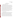# **SECTION C ASSESSMENT AND OVERSIGHT**

#### **C1 ASSESSMENTS AND RESPONSE ACTIONS**

Every effort will be made in this verification test to anticipate and resolve potential problems before the quality of performance is compromised. One of the major objectives of this protocol is to establish mechanisms necessary to ensure this. Internal QC measures described in this protocol, which is peer reviewed by a panel of outside experts, implemented by the technical staff and monitored by the Verification Test Coordinator, will give information on data quality on a day-to-day basis. The responsibility for interpreting the results of these checks and resolving any potential problems resides with the Verification Test Coordinator. Technical staff have the responsibility to identify problems that could affect data quality or the ability to use the data. Any problems that are identified will be reported to the Verification Test Coordinator, who will work with the Battelle Quality Manager to resolve any issues. Action will be taken to control the problem, identify a solution to the problem, and minimize losses and correct data, where possible. Independent of any EPA QA activities, Battelle will be responsible for ensuring that the following audits are conducted as part of this verification test.

#### **C1.1 Performance Evaluation Audits**

A Performance Evaluation (PE) audit will be conducted to assess the quality of the  $H_2S$ reference method measurements made in this verification test. In the PE audit, key aspects of the reference measurement will be checked by comparison with an independent instrument, or an independent NIST-traceable standard. The PE audit of the H<sub>2</sub>S reference methods will be performed by supplying to each reference method a blind, independent, NIST-traceable compressed gas or permeation tube H2S standard provided by Battelle. The PE samples will be analyzed in the same manner as for all other ambient air samples, and the analytical results for the PE samples will be compared to the nominal concentration. The target criterion for this PE audit is agreement of the analytical result within  $30\%$  of the nominal H<sub>2</sub>S concentration. If the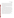Ambient Hydrogen Sulfide Analyzers Generic Verification Protocol Page 40 of 45 September 2005

PE audit results do not meet the tolerances required, they will be repeated. If the outlying results persist, a change in reference instrument and a repeat of the PE audit may be considered. This audit will be performed once prior to the start of the test and two times during the verification test, and will be the responsibility of the Verification Test Coordinator or designee. Since the PE audit samples will be sampled by the reference methods in the same way as reference samples, they will assess each component of the reference method, including inertness of metal sampling components, H2S stability in the sampling container (if applicable), and analytical accuracy of the GC-PFPD or GC-SCD systems.

A PE audit of the ambient air sample flow rate for the time-integrated reference method will be performed by comparing to an independent flow measurement device. The target criterion for this PE audit is agreement within the expected range, which will be defined prior to the PE audit. A PE audit of the flow rates produced by the dilution system will be performed by comparing to an independent flow measurement device. One mid-range flow rate will be audited for each flow controller [i.e., 0.03, 0.3, and 5 liters per minute (Lpm)] within the dilution system. The target criterion for this PE audit is agreement within 5% of the flow readings. An additional PE audit of the H<sub>2</sub>S concentration produced by the dilution system will be conducted by supplying the reference method(s) with each  $H_2S$  concentration used for testing the performance of the H2S analyzers (i.e., 10, 30, 50, and 100 ppb). The acceptance criterion for this PE audit is agreement within 30% of the nominal H2S concentration. If the PE audit results do not meet the tolerances required, they will be repeated. If the outlying results persist, the nominal concentrations used in the calculations (Section B1.2) may be corrected according to the reference method results. These audits will be performed once during the verification test, and will be the responsibility of the Verification Test Coordinator or designee.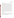#### **C1.2 Technical Systems Audits**

The Battelle Quality Manager will perform a technical systems audit (TSA) at least once during this verification test. The purpose of this audit is to ensure that the verification test is being performed in accordance with the AMS Center QMP,<sup>(2)</sup> this protocol, published reference methods, and any Standard Operating Procedures (SOPs) used by the reference methods. In the TSA, the Battelle Quality Manager, or a designee, may review the reference methods used, compare actual test procedures to those specified or referenced in this protocol, and review data acquisition and handling procedures. In the TSA, the Battelle Quality Manager will tour the test site, observe the H<sub>2</sub>S reference method sampling and sample recovery, inspect documentation of H2S sample COC; and review analyzer-specific record books. He or she will also check gas standard certifications and analyzer data acquisition procedures, and may confer with the analyzer vendors, reference laboratory, and technical staff. The Battelle Quality Manager may also visit the reference laboratories where the H<sub>2</sub>S reference method analysis is conducted, to review procedures and adherence to this plan and applicable SOP's. A TSA report will be prepared, including a statement of findings and the actions taken to address any adverse findings. The EPA AMS Center Quality Manager will receive a copy of Battelle's TSA report. At EPA's discretion, EPA QA staff may also conduct an independent on-site TSA during the verification test. The TSA findings will be communicated to technical staff at the time of the audit and documented in a TSA report.

#### **C1.3 Data Quality Audits**

The Battelle Quality Manager or designee will audit at least 10% of the verification data acquired in the verification test. The Battelle Quality Manager will trace the data from initial acquisition, through reduction and statistical comparisons, to final reporting. All calculations performed on the data undergoing the audit will be checked.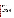#### **C1.4 QA/QC Reporting**

Each assessment and audit will be documented in accordance with Section 3.3.4 of the AMS Center QMP.<sup>(2)</sup> The results of the TSA will be submitted to EPA. Assessment reports will include the following:

- C Identification of any adverse findings or potential problems
- C Response to adverse findings or potential problems
- C Recommendations for resolving problems
- C Confirmation that solutions have been implemented and are effective
- C Citation of any noteworthy practices that may be of use to others.

#### **C2 REPORTS TO MANAGEMENT**

The Battelle Quality Manager, during the course of any assessment or audit, will identify to the technical staff performing experimental activities any immediate corrective action that should be taken. If serious quality problems exist, the Battelle Quality Manager is authorized to request that Battelle's AMS Center Manager issue a stop work order. Once the assessment report has been prepared, the Verification Test Coordinator will ensure that a response is provided for each adverse finding or potential problem and will implement any necessary follow-up corrective action. The Battelle Quality Manager will ensure that follow-up corrective action has been taken. This protocol and final reports will be reviewed by EPA AMS Center QA staff and EPA AMS Center program management staff. Upon final review and approval, both documents will be posted on the ETV website (www.epa.gov/etv).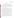#### **SECTION D**

#### **DATA VALIDATION AND USABILITY**

#### **D1 DATA REVIEW, VALIDATION, AND VERIFICATION REQUIREMENTS**

The key data review requirements for the verification test are the analysis of QC samples described in Section B5, a comparison of field data sheet comments against final data to flag any suspect data, and a review of final data to resolve any questions about apparent outliers. The QA audits described within Section C of this document, including the audit of data quality, are designed to assure the quality of the data.

#### **D2 VALIDATION AND VERIFICATION METHODS**

Data validation is conducted as part of the data review described in Section B10 and C1.2 of this protocol. This verification will include a visual inspection of handwritten data to ensure that all entries were properly recorded or transcribed, and that any erroneous entries were properly noted (i.e., single line through entry, with an error code, initials of the recorder, and date of the entry). Data manually incorporated into spreadsheets for use in calculations will be checked against handwritten data to ensure that transcription errors have not occurred. Calculations will be spot-checked to ensure the accuracy and appropriateness of the calculations. Calculations performed manually will be reviewed and repeated using a handheld calculator or commercial software (e.g., Microsoft Excel). Calculations performed using standard commercial software (e.g., Microsoft Excel) will be reviewed by inspection of the equations used and selected calculations will be verified by handheld calculator.

A number of data validation procedures will also be performed. Section C of this protocol provides a description of the validation safeguards employed for a verification test performed under this protocol. Data validation efforts include the completion of QC activities and the performance of TSA and PE audits as described in Section C. An audit of data quality will be conducted by the Battelle Quality Manager or designee to ensure that data review, verification, and validation procedures were completed, and to verify the overall quality of the data.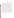#### **D3 RECONCILIATION WITH USER REQUIREMENTS**

The purpose of a verification test performed under this protocol is to evaluate the performance of ambient H<sub>2</sub>S analyzers. To meet the requirements of the user community, the data obtained in such a verification test should include thorough documentation of the performance of each analyzer during the verification test. The data review, verification, and validation procedures described in the previous sections will ensure that verification test data meet these requirements, are accurately presented in the verification reports generated from the test, and that data not meeting these requirements are appropriately flagged and discussed in the verification reports. The QC acceptance criteria described in Section B5 will be used to ensure that the reference methods provide accurate measurements of the ambient air and test samples.

This generic verification protocol is based upon a peer-reviewed specific test/QA plan entitled "Test/QA Plan for Verification of Ambient Hydrogen Sulfide Analyzers at a Swine Finishing Farm."<sup>(1)</sup> The test/QA plan was reviewed by H<sub>2</sub>S analyzer vendors, ETV AMS Center staff, EPA, test collaborators, and expert peer reviewers. The data from any verification test of H2S analyzers performed under this protocol will be compiled into an ETV verification report for each analyzer. The report will be subjected to review by the H<sub>2</sub>S analyzer vendors, test collaborators, EPA, and external expert peer reviewers. These reviews will assure that this protocol, verification test(s) of  $H_2S$  analyzers, and the resulting report(s) meet the needs of potential users of H<sub>2</sub>S analyzers. The final report(s) will be submitted to EPA in Microsoft Word or Corel WordPerfect and Adobe Portable Document Format (PDF) and subsequently posted on the ETV website.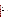Ambient Hydrogen Sulfide Analyzers Generic Verification Protocol Page 45 of 45 September 2005

#### **SECTION E**

#### **REFERENCES**

- 1. Test/QA Plan for Verification of Ambient Hydrogen Sulfide Analyzers at a Swine Finishing Farm, Version 1.0, U.S. EPA Environmental Technology Verification Program, Battelle, Columbus, Ohio, March 31, 2005.
- 2. Quality Management Plan for the ETV Advanced Monitoring Systems Center, Version 5.0, U.S. EPA Environmental Technology Verification Program, Battelle, Columbus, Ohio, March 2004.
- 3. Environmental Technology Verification Program Quality Management Plan, EPA/600/R-03/021, U.S. Environmental Protection Agency, Cincinnati, Ohio, December 2002.
- 4. Minnesota Pollution Control Agency. "Feedlot Air Quality Summary: Data Collection, Enforcement and Program Development." http://www.pca.state.mn.us/hot/pubs/feedlot-aq.pdf, March 1999.
- 5. Zahn, J. A., et al. "Correlation of Human Olfactory Responses to Airborne Concentrations of Malordorous Volatile Organic Compounds Emitted from Swine Effluent," J. Environ. Qual., 30, 624-634, 2001.
- 6. National Academy of Sciences. "Air Emissions from Animal Feeding Operations: Current Knowledge, Future Needs." National Research Council, 2003.
- 7. Animal Feeding Operations Consent Agreement and Final Order, Federal Register, Volume 70 (19), January 31, 2005.
- 8. ASTM International. Standard Test Method for Determination of Sulfur Compounds in Natural Gas and Gaseous Fuels by Gas Chromatography and Chemiluminescence. Designation: D5504-01, 2001.
- 9. Restek Corporation. "Stability of Low-level (1ppb 20 ppb) Reactive Surfurs in SilcoCan<sup>TM</sup> Canisters." Applications note #59347-INT, 2001.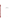**Appendix A Example Daily Checklist**